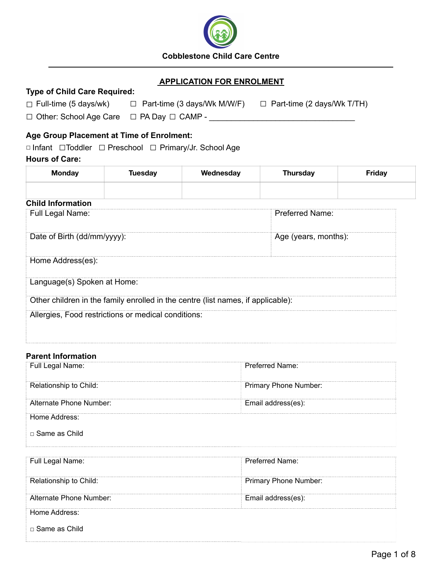

# **APPLICATION FOR ENROLMENT**

| $\Box$ Full-time (5 days/wk)  | $\Box$ Part-time (3 days/Wk M/W/F) | $\Box$ Part-time (2 days/Wk T/TH) |
|-------------------------------|------------------------------------|-----------------------------------|
| $\Box$ Other: School Age Care | $\Box$ PA Day $\Box$ CAMP -        |                                   |

## **Age Group Placement at Time of Enrolment:**

**Type of Child Care Required:**

□ Infant □Toddler □ Preschool □ Primary/Jr. School Age **Hours of Care:**

| <b>Monday</b>               | <b>Tuesday</b>                                      | Wednesday                                                                        | <b>Thursday</b>      | Friday |
|-----------------------------|-----------------------------------------------------|----------------------------------------------------------------------------------|----------------------|--------|
| <b>Child Information</b>    |                                                     |                                                                                  |                      |        |
| Full Legal Name:            |                                                     |                                                                                  | Preferred Name:      |        |
| Date of Birth (dd/mm/yyyy): |                                                     |                                                                                  | Age (years, months): |        |
| Home Address(es):           |                                                     |                                                                                  |                      |        |
| Language(s) Spoken at Home: |                                                     |                                                                                  |                      |        |
|                             |                                                     | Other children in the family enrolled in the centre (list names, if applicable): |                      |        |
|                             | Allergies, Food restrictions or medical conditions: |                                                                                  |                      |        |

## **Parent Information**

| Full Legal Name:        | Preferred Name:              |
|-------------------------|------------------------------|
| Relationship to Child:  | <b>Primary Phone Number:</b> |
| Alternate Phone Number: | Email address(es):           |
| Home Address:           |                              |
| □ Same as Child         |                              |

| Full Legal Name:        | Preferred Name:              |
|-------------------------|------------------------------|
| Relationship to Child:  | <b>Primary Phone Number:</b> |
| Alternate Phone Number: | Email address(es):           |
| Home Address:           |                              |
| $\Box$ Same as Child    |                              |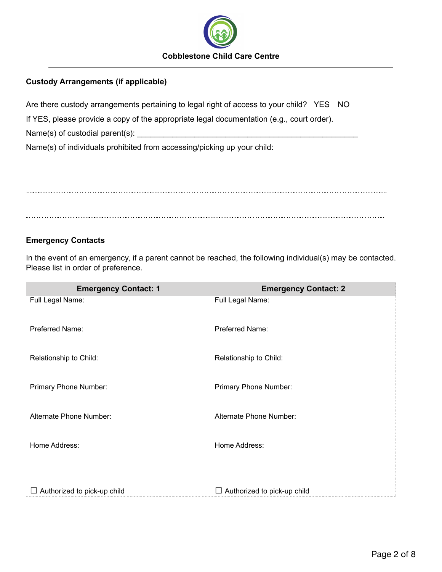

# **Custody Arrangements (if applicable)**

Are there custody arrangements pertaining to legal right of access to your child? YES NO

If YES, please provide a copy of the appropriate legal documentation (e.g., court order).

Name(s) of custodial parent(s):  $\Box$ 

Name(s) of individuals prohibited from accessing/picking up your child:

## **Emergency Contacts**

In the event of an emergency, if a parent cannot be reached, the following individual(s) may be contacted. Please list in order of preference.

| <b>Emergency Contact: 1</b> | <b>Emergency Contact: 2</b>        |
|-----------------------------|------------------------------------|
| Full Legal Name:            | Full Legal Name:                   |
| Preferred Name:             | Preferred Name:                    |
| Relationship to Child:      | Relationship to Child:             |
| Primary Phone Number:       | Primary Phone Number:              |
| Alternate Phone Number:     | Alternate Phone Number:            |
| Home Address:               | Home Address:                      |
|                             |                                    |
| Authorized to pick-up child | $\Box$ Authorized to pick-up child |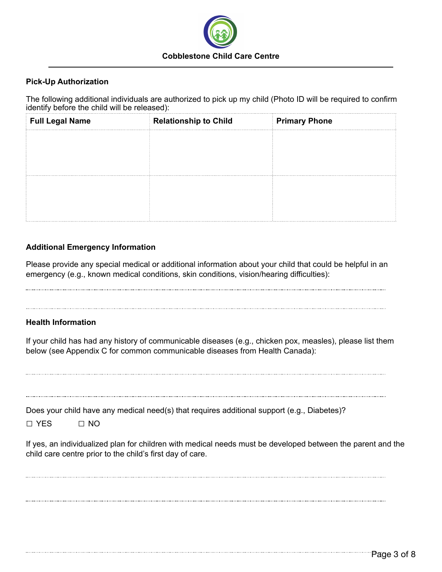

## **Pick-Up Authorization**

The following additional individuals are authorized to pick up my child (Photo ID will be required to confirm identify before the child will be released):

| <b>Full Legal Name</b> | <b>Relationship to Child</b> | <b>Primary Phone</b> |
|------------------------|------------------------------|----------------------|
|                        |                              |                      |
|                        |                              |                      |
|                        |                              |                      |
|                        |                              |                      |
|                        |                              |                      |
|                        |                              |                      |

## **Additional Emergency Information**

Please provide any special medical or additional information about your child that could be helpful in an emergency (e.g., known medical conditions, skin conditions, vision/hearing difficulties):

#### **Health Information**

If your child has had any history of communicable diseases (e.g., chicken pox, measles), please list them below (see Appendix C for common communicable diseases from Health Canada):

| Does your child have any medical need(s) that requires additional support (e.g., Diabetes)?<br>$\Box$ YFS<br>$\Box$ No                                                   |
|--------------------------------------------------------------------------------------------------------------------------------------------------------------------------|
| If yes, an individualized plan for children with medical needs must be developed between the parent and the<br>child care centre prior to the child's first day of care. |
|                                                                                                                                                                          |
|                                                                                                                                                                          |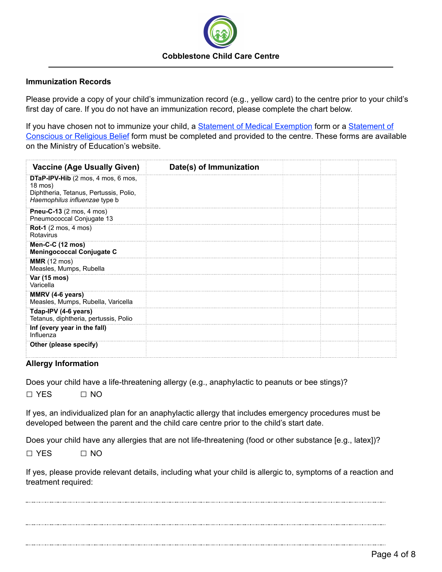

#### **Immunization Records**

Please provide a copy of your child's immunization record (e.g., yellow card) to the centre prior to your child's first day of care. If you do not have an immunization record, please complete the chart below.

If you have chosen not to immunize your child, a **[Statement of](http://www.forms.ssb.gov.on.ca/mbs/ssb/forms/ssbforms.nsf/FormDetail?OpenForm&ACT=RDR&TAB=PROFILE&SRCH=1&ENV=WWE&TIT=religious+belief&NO=010-3042E) Medical Exemption** form or a **Statement of** [Conscious or Religious Belief](http://www.forms.ssb.gov.on.ca/mbs/ssb/forms/ssbforms.nsf/FormDetail?OpenForm&ACT=RDR&TAB=PROFILE&SRCH=1&ENV=WWE&TIT=religious+belief&NO=010-3042E) form must be completed and provided to the centre. These forms are available on the Ministry of Education's website.

| <b>Vaccine (Age Usually Given)</b>                                                                                                       | Date(s) of Immunization |  |
|------------------------------------------------------------------------------------------------------------------------------------------|-------------------------|--|
| <b>DTaP-IPV-Hib</b> (2 mos, 4 mos, 6 mos,<br>$18 \text{ mos}$<br>Diphtheria, Tetanus, Pertussis, Polio,<br>Haemophilus influenzae type b |                         |  |
| Pneu-C-13 (2 mos, 4 mos)<br>Pneumococcal Conjugate 13                                                                                    |                         |  |
| <b>Rot-1</b> (2 mos, 4 mos)<br>Rotavirus                                                                                                 |                         |  |
| Men-C-C (12 mos)<br><b>Meningococcal Conjugate C</b>                                                                                     |                         |  |
| <b>MMR</b> (12 mos)<br>Measles, Mumps, Rubella                                                                                           |                         |  |
| Var (15 mos)<br>Varicella                                                                                                                |                         |  |
| MMRV (4-6 years)<br>Measles, Mumps, Rubella, Varicella                                                                                   |                         |  |
| Tdap-IPV (4-6 years)<br>Tetanus, diphtheria, pertussis, Polio                                                                            |                         |  |
| Inf (every year in the fall)<br>Influenza                                                                                                |                         |  |
| Other (please specify)                                                                                                                   |                         |  |

#### **Allergy Information**

Does your child have a life-threatening allergy (e.g., anaphylactic to peanuts or bee stings)?

□ YES □ NO

If yes, an individualized plan for an anaphylactic allergy that includes emergency procedures must be developed between the parent and the child care centre prior to the child's start date.

Does your child have any allergies that are not life-threatening (food or other substance [e.g., latex])?

 $\Box$  YES  $\Box$  NO

If yes, please provide relevant details, including what your child is allergic to, symptoms of a reaction and treatment required: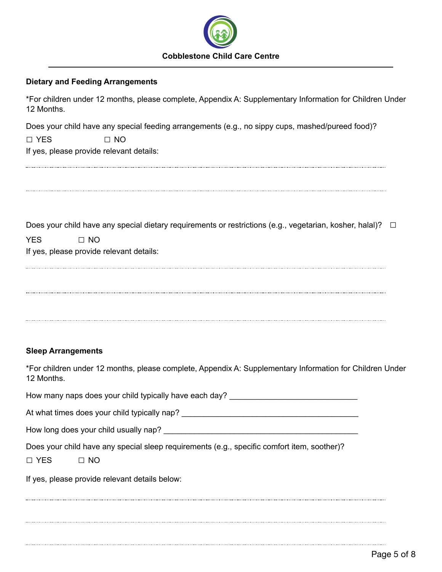

#### **Dietary and Feeding Arrangements**

\*For children under 12 months, please complete, Appendix A: Supplementary Information for Children Under 12 Months.

Does your child have any special feeding arrangements (e.g., no sippy cups, mashed/pureed food)?

□ YES □ NO

If yes, please provide relevant details:

Does your child have any special dietary requirements or restrictions (e.g., vegetarian, kosher, halal)?  $\Box$ 

| YES | $\Box$ NO                                |
|-----|------------------------------------------|
|     | If yes, please provide relevant details: |

#### **Sleep Arrangements**

\*For children under 12 months, please complete, Appendix A: Supplementary Information for Children Under 12 Months.

How many naps does your child typically have each day?

At what times does your child typically nap? \_\_\_\_\_\_\_\_\_\_\_\_\_\_\_\_\_\_\_\_\_\_\_\_\_\_\_\_\_\_\_\_\_\_\_

How long does your child usually nap?

Does your child have any special sleep requirements (e.g., specific comfort item, soother)?

If yes, please provide relevant details below: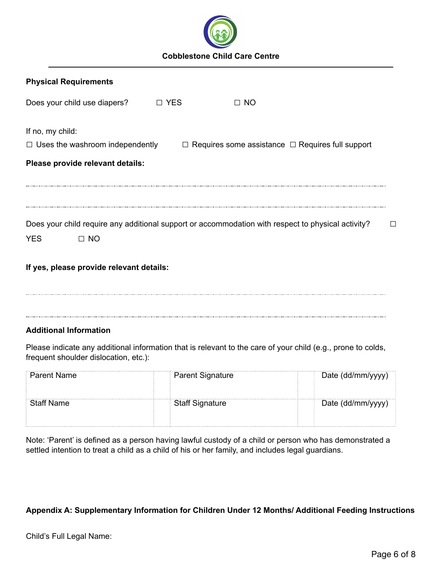

| <b>Physical Requirements</b>             |       |                                                                                                     |   |
|------------------------------------------|-------|-----------------------------------------------------------------------------------------------------|---|
| Does your child use diapers?             | □ YES | $\Box$ NO                                                                                           |   |
| If no, my child:                         |       |                                                                                                     |   |
|                                          |       | $\Box$ Uses the washroom independently $\Box$ Requires some assistance $\Box$ Requires full support |   |
| Please provide relevant details:         |       |                                                                                                     |   |
|                                          |       |                                                                                                     |   |
|                                          |       |                                                                                                     |   |
|                                          |       |                                                                                                     |   |
|                                          |       | Does your child require any additional support or accommodation with respect to physical activity?  | П |
| <b>YES</b><br>$\Box$ NO                  |       |                                                                                                     |   |
| If yes, please provide relevant details: |       |                                                                                                     |   |
|                                          |       |                                                                                                     |   |

#### **Additional Information**

Please indicate any additional information that is relevant to the care of your child (e.g., prone to colds, frequent shoulder dislocation, etc.):

| Parent Name       | <b>Parent Signature</b> | Date (dd/mm/yyyy) |
|-------------------|-------------------------|-------------------|
| <b>Staff Name</b> | <b>Staff Signature</b>  | Date (dd/mm/yyyy) |
|                   |                         |                   |

Note: 'Parent' is defined as a person having lawful custody of a child or person who has demonstrated a settled intention to treat a child as a child of his or her family, and includes legal guardians.

# **Appendix A: Supplementary Information for Children Under 12 Months/ Additional Feeding Instructions**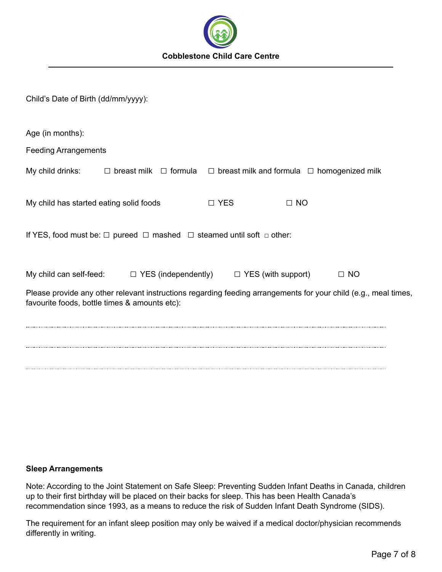

| Child's Date of Birth (dd/mm/yyyy):                                                                                                                              |                                                                                                                       |       |           |           |  |  |
|------------------------------------------------------------------------------------------------------------------------------------------------------------------|-----------------------------------------------------------------------------------------------------------------------|-------|-----------|-----------|--|--|
| Age (in months):                                                                                                                                                 |                                                                                                                       |       |           |           |  |  |
| <b>Feeding Arrangements</b>                                                                                                                                      |                                                                                                                       |       |           |           |  |  |
|                                                                                                                                                                  | My child drinks: $\square$ breast milk $\square$ formula $\square$ breast milk and formula $\square$ homogenized milk |       |           |           |  |  |
| My child has started eating solid foods                                                                                                                          |                                                                                                                       | □ YES | $\Box$ NO |           |  |  |
| If YES, food must be: $\Box$ pureed $\Box$ mashed $\Box$ steamed until soft $\Box$ other:                                                                        |                                                                                                                       |       |           |           |  |  |
|                                                                                                                                                                  | My child can self-feed: $\square$ YES (independently) $\square$ YES (with support)                                    |       |           | $\Box$ NO |  |  |
| Please provide any other relevant instructions regarding feeding arrangements for your child (e.g., meal times,<br>favourite foods, bottle times & amounts etc): |                                                                                                                       |       |           |           |  |  |
|                                                                                                                                                                  |                                                                                                                       |       |           |           |  |  |
|                                                                                                                                                                  |                                                                                                                       |       |           |           |  |  |
|                                                                                                                                                                  |                                                                                                                       |       |           |           |  |  |

#### **Sleep Arrangements**

Note: According to the Joint Statement on Safe Sleep: Preventing Sudden Infant Deaths in Canada, children up to their first birthday will be placed on their backs for sleep. This has been Health Canada's recommendation since 1993, as a means to reduce the risk of Sudden Infant Death Syndrome (SIDS).

The requirement for an infant sleep position may only be waived if a medical doctor/physician recommends differently in writing.